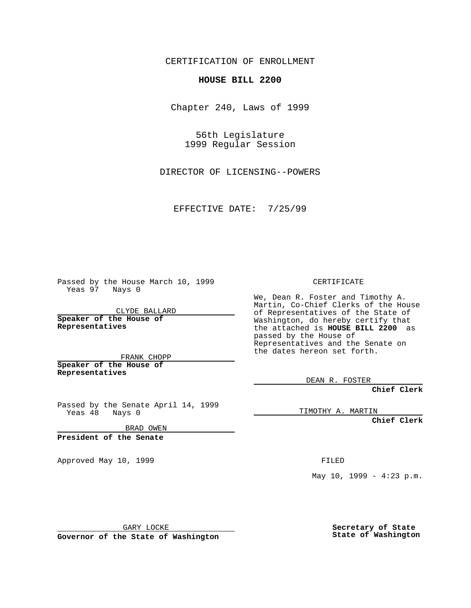CERTIFICATION OF ENROLLMENT

## **HOUSE BILL 2200**

Chapter 240, Laws of 1999

56th Legislature 1999 Regular Session

DIRECTOR OF LICENSING--POWERS

EFFECTIVE DATE: 7/25/99

Passed by the House March 10, 1999 Yeas 97 Nays 0

CLYDE BALLARD **Speaker of the House of Representatives**

FRANK CHOPP **Speaker of the House of**

**Representatives**

Passed by the Senate April 14, 1999 Yeas 48 Nays 0

BRAD OWEN

**President of the Senate**

Approved May 10, 1999 **FILED** 

CERTIFICATE

We, Dean R. Foster and Timothy A. Martin, Co-Chief Clerks of the House of Representatives of the State of Washington, do hereby certify that the attached is **HOUSE BILL 2200** as passed by the House of Representatives and the Senate on the dates hereon set forth.

DEAN R. FOSTER

**Chief Clerk**

TIMOTHY A. MARTIN

**Chief Clerk**

May  $10$ ,  $1999 - 4:23$  p.m.

GARY LOCKE

**Governor of the State of Washington**

**Secretary of State State of Washington**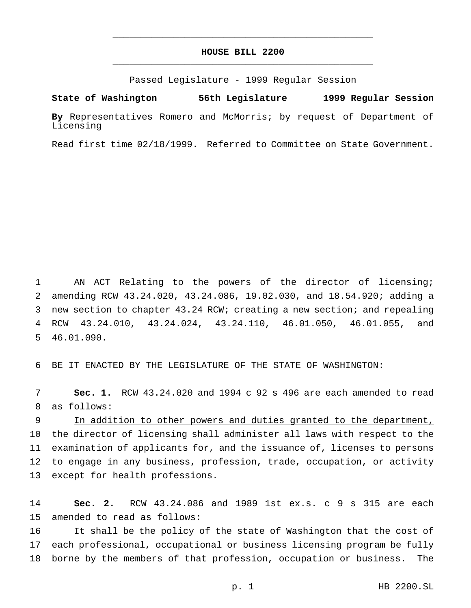## **HOUSE BILL 2200** \_\_\_\_\_\_\_\_\_\_\_\_\_\_\_\_\_\_\_\_\_\_\_\_\_\_\_\_\_\_\_\_\_\_\_\_\_\_\_\_\_\_\_\_\_\_\_

\_\_\_\_\_\_\_\_\_\_\_\_\_\_\_\_\_\_\_\_\_\_\_\_\_\_\_\_\_\_\_\_\_\_\_\_\_\_\_\_\_\_\_\_\_\_\_

Passed Legislature - 1999 Regular Session

**State of Washington 56th Legislature 1999 Regular Session**

**By** Representatives Romero and McMorris; by request of Department of Licensing

Read first time 02/18/1999. Referred to Committee on State Government.

 AN ACT Relating to the powers of the director of licensing; amending RCW 43.24.020, 43.24.086, 19.02.030, and 18.54.920; adding a new section to chapter 43.24 RCW; creating a new section; and repealing RCW 43.24.010, 43.24.024, 43.24.110, 46.01.050, 46.01.055, and 46.01.090.

6 BE IT ENACTED BY THE LEGISLATURE OF THE STATE OF WASHINGTON:

7 **Sec. 1.** RCW 43.24.020 and 1994 c 92 s 496 are each amended to read 8 as follows:

9 In addition to other powers and duties granted to the department, 10 the director of licensing shall administer all laws with respect to the 11 examination of applicants for, and the issuance of, licenses to persons 12 to engage in any business, profession, trade, occupation, or activity 13 except for health professions.

14 **Sec. 2.** RCW 43.24.086 and 1989 1st ex.s. c 9 s 315 are each 15 amended to read as follows:

16 It shall be the policy of the state of Washington that the cost of 17 each professional, occupational or business licensing program be fully 18 borne by the members of that profession, occupation or business. The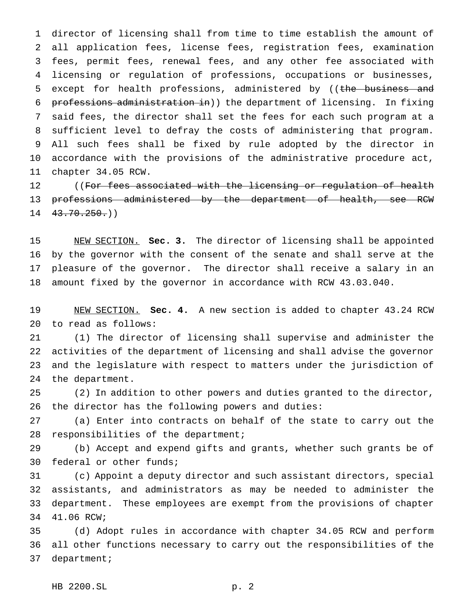director of licensing shall from time to time establish the amount of all application fees, license fees, registration fees, examination fees, permit fees, renewal fees, and any other fee associated with licensing or regulation of professions, occupations or businesses, 5 except for health professions, administered by ((the business and professions administration in)) the department of licensing. In fixing said fees, the director shall set the fees for each such program at a sufficient level to defray the costs of administering that program. All such fees shall be fixed by rule adopted by the director in accordance with the provisions of the administrative procedure act, chapter 34.05 RCW.

12 ((For fees associated with the licensing or regulation of health professions administered by the department of health, see RCW  $14 \quad 43.70.250()$ 

 NEW SECTION. **Sec. 3.** The director of licensing shall be appointed by the governor with the consent of the senate and shall serve at the pleasure of the governor. The director shall receive a salary in an amount fixed by the governor in accordance with RCW 43.03.040.

 NEW SECTION. **Sec. 4.** A new section is added to chapter 43.24 RCW to read as follows:

 (1) The director of licensing shall supervise and administer the activities of the department of licensing and shall advise the governor and the legislature with respect to matters under the jurisdiction of the department.

 (2) In addition to other powers and duties granted to the director, the director has the following powers and duties:

 (a) Enter into contracts on behalf of the state to carry out the responsibilities of the department;

 (b) Accept and expend gifts and grants, whether such grants be of federal or other funds;

 (c) Appoint a deputy director and such assistant directors, special assistants, and administrators as may be needed to administer the department. These employees are exempt from the provisions of chapter 41.06 RCW;

 (d) Adopt rules in accordance with chapter 34.05 RCW and perform all other functions necessary to carry out the responsibilities of the department;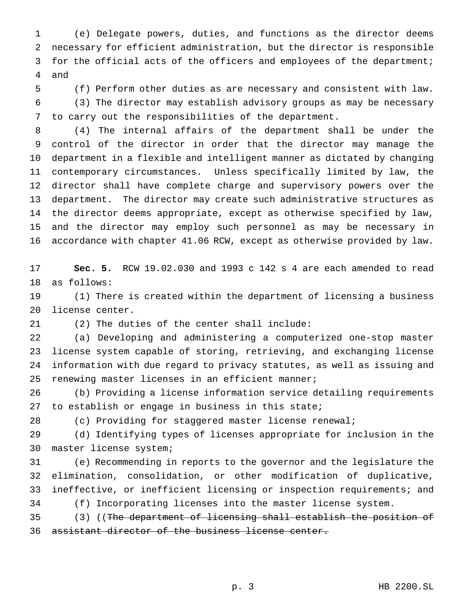(e) Delegate powers, duties, and functions as the director deems necessary for efficient administration, but the director is responsible 3 for the official acts of the officers and employees of the department; and

 (f) Perform other duties as are necessary and consistent with law. (3) The director may establish advisory groups as may be necessary to carry out the responsibilities of the department.

 (4) The internal affairs of the department shall be under the control of the director in order that the director may manage the department in a flexible and intelligent manner as dictated by changing contemporary circumstances. Unless specifically limited by law, the director shall have complete charge and supervisory powers over the department. The director may create such administrative structures as the director deems appropriate, except as otherwise specified by law, and the director may employ such personnel as may be necessary in accordance with chapter 41.06 RCW, except as otherwise provided by law.

 **Sec. 5.** RCW 19.02.030 and 1993 c 142 s 4 are each amended to read as follows:

 (1) There is created within the department of licensing a business license center.

(2) The duties of the center shall include:

 (a) Developing and administering a computerized one-stop master license system capable of storing, retrieving, and exchanging license information with due regard to privacy statutes, as well as issuing and renewing master licenses in an efficient manner;

 (b) Providing a license information service detailing requirements to establish or engage in business in this state;

(c) Providing for staggered master license renewal;

 (d) Identifying types of licenses appropriate for inclusion in the master license system;

 (e) Recommending in reports to the governor and the legislature the elimination, consolidation, or other modification of duplicative, ineffective, or inefficient licensing or inspection requirements; and (f) Incorporating licenses into the master license system.

 (3) ((The department of licensing shall establish the position of assistant director of the business license center.